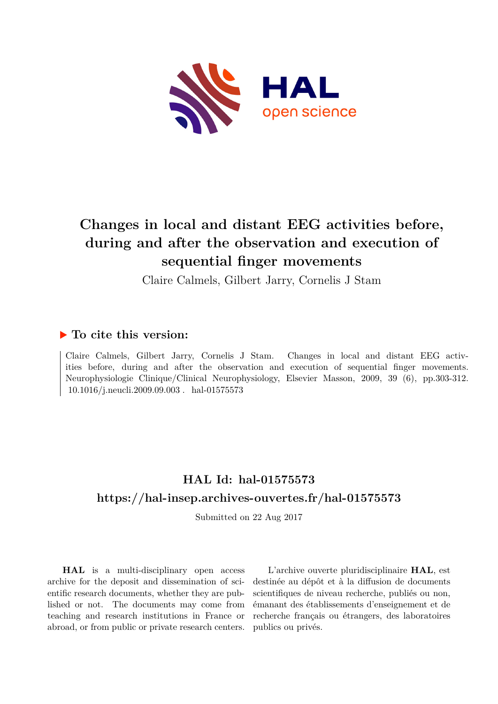

# **Changes in local and distant EEG activities before, during and after the observation and execution of sequential finger movements**

Claire Calmels, Gilbert Jarry, Cornelis J Stam

## **To cite this version:**

Claire Calmels, Gilbert Jarry, Cornelis J Stam. Changes in local and distant EEG activities before, during and after the observation and execution of sequential finger movements. Neurophysiologie Clinique/Clinical Neurophysiology, Elsevier Masson, 2009, 39 (6), pp.303-312. 10.1016/j.neucli.2009.09.003. hal-01575573

## **HAL Id: hal-01575573 <https://hal-insep.archives-ouvertes.fr/hal-01575573>**

Submitted on 22 Aug 2017

**HAL** is a multi-disciplinary open access archive for the deposit and dissemination of scientific research documents, whether they are published or not. The documents may come from teaching and research institutions in France or abroad, or from public or private research centers.

L'archive ouverte pluridisciplinaire **HAL**, est destinée au dépôt et à la diffusion de documents scientifiques de niveau recherche, publiés ou non, émanant des établissements d'enseignement et de recherche français ou étrangers, des laboratoires publics ou privés.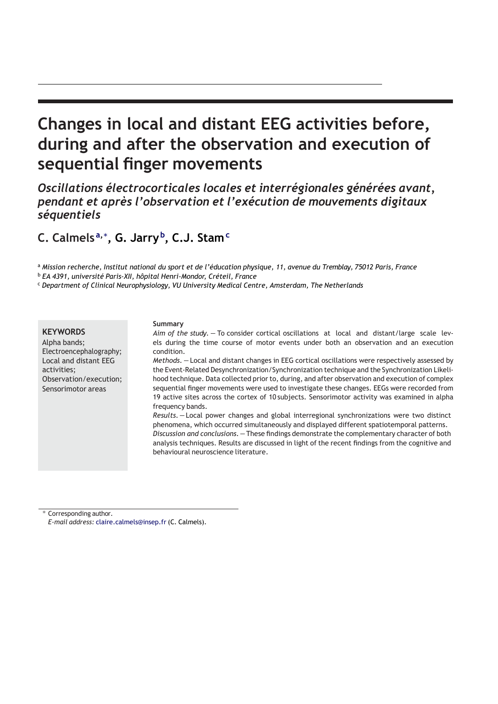# **Changes in local and distant EEG activities before, during and after the observation and execution of sequential finger movements**

*Oscillations électrocorticales locales et interrégionales générées avant, pendant et après l'observation et l'exécution de mouvements digitaux séquentiels*

**C. Calmels a,∗ , G. Jarry b , C.J. Stam<sup>c</sup>**

a Mission recherche, Institut national du sport et de l'éducation physique, 11, avenue du Tremblay, 75012 Paris, France

<sup>b</sup> *EA 4391, université Paris-XII, hôpital Henri-Mondor, Créteil, France*

<sup>c</sup> *Department of Clinical Neurophysiology, VU University Medical Centre, Amsterdam, The Netherlands*

## **KEYWORDS**

Alpha bands; Electroencephalography; Local and distant EEG activities; Observation/execution; Sensorimotor areas

#### **Summary**

*Aim of the study. —* To consider cortical oscillations at local and distant/large scale levels during the time course of motor events under both an observation and an execution condition.

*Methods. —* Local and distant changes in EEG cortical oscillations were respectively assessed by the Event-Related Desynchronization/Synchronization technique and the Synchronization Likelihood technique. Data collected prior to, during, and after observation and execution of complex sequential finger movements were used to investigate these changes. EEGs were recorded from 19 active sites across the cortex of 10 subjects. Sensorimotor activity was examined in alpha frequency bands.

*Results.—* Local power changes and global interregional synchronizations were two distinct phenomena, which occurred simultaneously and displayed different spatiotemporal patterns. *Discussion and conclusions.—*These findings demonstrate the complementary character of both analysis techniques. Results are discussed in light of the recent findings from the cognitive and behavioural neuroscience literature.

Corresponding author.

*E-mail address:* [claire.calmels@insep.fr](mailto:claire.calmels@insep.fr) (C. Calmels).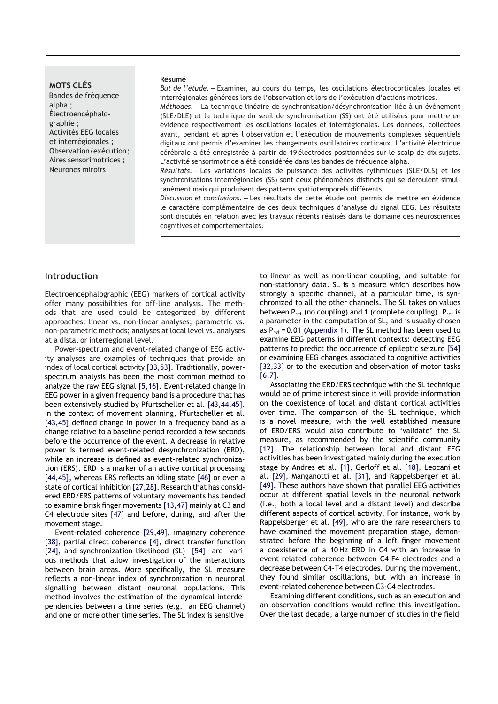## **MOTS CLÉS**

Bandes de fréquence alpha ; Électroencéphalographie ; Activités EEG locales et interrégionales ; Observation/exécution; Aires sensorimotrices ; Neurones miroirs

#### **Résumé**

*But de l'étude. —* Examiner, au cours du temps, les oscillations électrocorticales locales et interrégionales générées lors de l'observation et lors de l'exécution d'actions motrices.

*Méthodes. —* La technique linéaire de synchronisation/désynchronisation liée à un événement (SLE/DLE) et la technique du seuil de synchronisation (SS) ont été utilisées pour mettre en évidence respectivement les oscillations locales et interrégionales. Les données, collectées avant, pendant et après l'observation et l'exécution de mouvements complexes séquentiels digitaux ont permis d'examiner les changements oscillatoires corticaux. L'activité électrique cérébrale a été enregistrée à partir de 19 électrodes positionnées sur le scalp de dix sujets. L'activité sensorimotrice a été considérée dans les bandes de fréquence alpha.

*Résultats. —* Les variations locales de puissance des activités rythmiques (SLE/DLS) et les synchronisations interrégionales (SS) sont deux phénomènes distincts qui se déroulent simultanément mais qui produisent des patterns spatiotemporels différents.

*Discussion et conclusions. —* Les résultats de cette étude ont permis de mettre en évidence le caractère complémentaire de ces deux techniques d'analyse du signal EEG. Les résultats sont discutés en relation avec les travaux récents réalisés dans le domaine des neurosciences cognitives et comportementales.

#### **Introduction**

Electroencephalographic (EEG) markers of cortical activity offer many possibilities for off-line analysis. The methods that are used could be categorized by different approaches: linear vs. non-linear analyses; parametric vs. non-parametric methods; analyses at local level vs. analyses at a distal or interregional level.

Power-spectrum and event-related change of EEG activity analyses are examples of techniques that provide an index of local cortical activity [33,53]. Traditionally, powerspectrum analysis has been the most common method to analyze the raw EEG signal [5,16]. Event-related change in EEG power in a given frequency band is a procedure that has been extensively studied by Pfurtscheller et al. [43,44,45]. In the context of movement planning, Pfurtscheller et al. [43,45] defined change in power in a frequency band as a change relative to a baseline period recorded a few seconds before the occurrence of the event. A decrease in relative power is termed event-related desynchronization (ERD), while an increase is defined as event-related synchronization (ERS). ERD is a marker of an active cortical processing [44,45], whereas ERS reflects an idling state [46] or even a state of cortical inhibition [27,28]. Research that has considered ERD/ERS patterns of voluntary movements has tended to examine brisk finger movements [13,47] mainly at C3 and C4 electrode sites [47] and before, during, and after the movement stage.

Event-related coherence [29,49], imaginary coherence [38], partial direct coherence [4], direct transfer function [24], and synchronization likelihood (SL) [54] are various methods that allow investigation of the interactions between brain areas. More specifically, the SL measure reflects a non-linear index of synchronization in neuronal signalling between distant neuronal populations. This method involves the estimation of the dynamical interdependencies between a time series (e.g., an EEG channel) and one or more other time series. The SL index is sensitive

to linear as well as non-linear coupling, and suitable for non-stationary data. SL is a measure which describes how strongly a specific channel, at a particular time, is synchronized to all the other channels. The SL takes on values between  $P_{ref}$  (no coupling) and 1 (complete coupling).  $P_{ref}$  is a parameter in the computation of SL, and is usually chosen as  $P_{ref} = 0.01$  (Appendix 1). The SL method has been used to examine EEG patterns in different contexts: detecting EEG patterns to predict the occurrence of epileptic seizure [54] or examining EEG changes associated to cognitive activities [32,33] or to the execution and observation of motor tasks [6,7].

Associating the ERD/ERS technique with the SL technique would be of prime interest since it will provide information on the coexistence of local and distant cortical activities over time. The comparison of the SL technique, which is a novel measure, with the well established measure of ERD/ERS would also contribute to 'validate' the SL measure, as recommended by the scientific community [12]. The relationship between local and distant EEG activities has been investigated mainly during the execution stage by Andres et al. [1], Gerloff et al. [18], Leocani et al. [29], Manganotti et al. [31], and Rappelsberger et al. [49]. These authors have shown that parallel EEG activities occur at different spatial levels in the neuronal network (i.e., both a local level and a distant level) and describe different aspects of cortical activity. For instance, work by Rappelsberger et al. [49], who are the rare researchers to have examined the movement preparation stage, demonstrated before the beginning of a left finger movement a coexistence of a 10 Hz ERD in C4 with an increase in event-related coherence between C4-F4 electrodes and a decrease between C4-T4 electrodes. During the movement, they found similar oscillations, but with an increase in event-related coherence between C3-C4 electrodes.

Examining different conditions, such as an execution and an observation conditions would refine this investigation. Over the last decade, a large number of studies in the field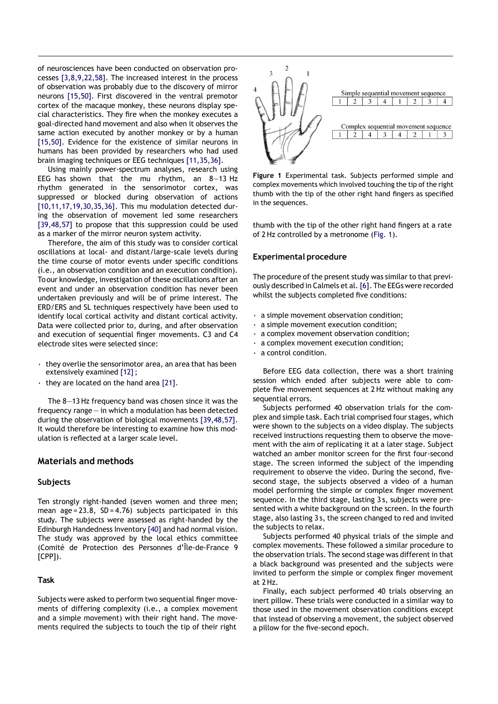of neurosciences have been conducted on observation processes [3,8,9,22,58]. The increased interest in the process of observation was probably due to the discovery of mirror neurons [15,50]. First discovered in the ventral premotor cortex of the macaque monkey, these neurons display special characteristics. They fire when the monkey executes a goal-directed hand movement and also when it observes the same action executed by another monkey or by a human [15,50]. Evidence for the existence of similar neurons in humans has been provided by researchers who had used brain imaging techniques or EEG techniques [11,35,36].

Using mainly power-spectrum analyses, research using EEG has shown that the mu rhythm, an 8—13 Hz rhythm generated in the sensorimotor cortex, was suppressed or blocked during observation of actions [10,11,17,19,30,35,36]. This mu modulation detected during the observation of movement led some researchers [39,48,57] to propose that this suppression could be used as a marker of the mirror neuron system activity.

Therefore, the aim of this study was to consider cortical oscillations at local- and distant/large-scale levels during the time course of motor events under specific conditions (i.e., an observation condition and an execution condition). Toour knowledge, investigation of these oscillations after an event and under an observation condition has never been undertaken previously and will be of prime interest. The ERD/ERS and SL techniques respectively have been used to identify local cortical activity and distant cortical activity. Data were collected prior to, during, and after observation and execution of sequential finger movements. C3 and C4 electrode sites were selected since:

- $\cdot$  they overlie the sensorimotor area, an area that has been extensively examined [12];
- $\cdot$  they are located on the hand area [21].

The 8—13Hz frequency band was chosen since it was the frequency range — in which a modulation has been detected during the observation of biological movements [39,48,57]. It would therefore be interesting to examine how this modulation is reflected at a larger scale level.

## **Materials and methods**

## **Subjects**

Ten strongly right-handed (seven women and three men; mean age =  $23.8$ ,  $SD = 4.76$ ) subjects participated in this study. The subjects were assessed as right-handed by the Edinburgh Handedness Inventory [40] and had normal vision. The study was approved by the local ethics committee (Comité de Protection des Personnes d'Île-de-France 9 [CPP]).

## **Task**

Subjects were asked to perform two sequential finger movements of differing complexity (i.e., a complex movement and a simple movement) with their right hand. The movements required the subjects to touch the tip of their right



**Figure 1** Experimental task. Subjects performed simple and complex movements which involved touching the tip of the right thumb with the tip of the other right hand fingers as specified in the sequences.

thumb with the tip of the other right hand fingers at a rate of 2Hz controlled by a metronome (Fig. 1).

#### **Experimental procedure**

The procedure of the present study was similar to that previously described in Calmels et al. [6]. The EEGs were recorded whilst the subjects completed five conditions:

- a simple movement observation condition;
- a simple movement execution condition;
- a complex movement observation condition;
- a complex movement execution condition;
- a control condition.

Before EEG data collection, there was a short training session which ended after subjects were able to complete five movement sequences at 2 Hz without making any sequential errors.

Subjects performed 40 observation trials for the complex and simple task. Each trial comprised four stages, which were shown to the subjects on a video display. The subjects received instructions requesting them to observe the movement with the aim of replicating it at a later stage. Subject watched an amber monitor screen for the first four-second stage. The screen informed the subject of the impending requirement to observe the video. During the second, fivesecond stage, the subjects observed a video of a human model performing the simple or complex finger movement sequence. In the third stage, lasting 3 s, subjects were presented with a white background on the screen. In the fourth stage, also lasting 3 s, the screen changed to red and invited the subjects to relax.

Subjects performed 40 physical trials of the simple and complex movements. These followed a similar procedure to the observation trials. The second stage was different in that a black background was presented and the subjects were invited to perform the simple or complex finger movement at 2Hz.

Finally, each subject performed 40 trials observing an inert pillow. These trials were conducted in a similar way to those used in the movement observation conditions except that instead of observing a movement, the subject observed a pillow for the five-second epoch.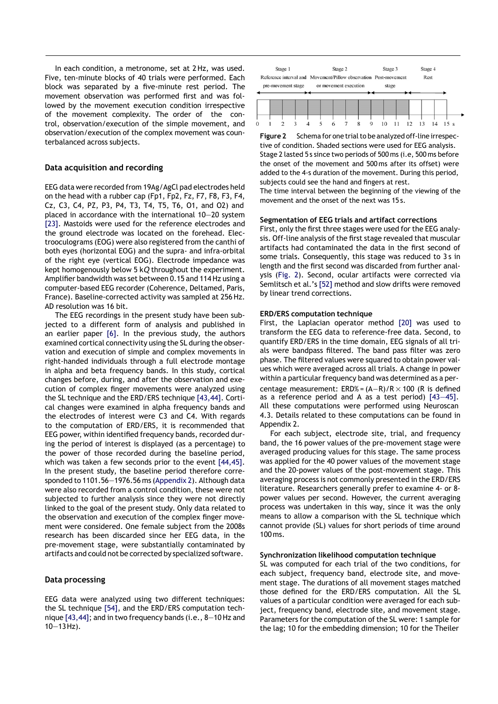In each condition, a metronome, set at 2Hz, was used. Five, ten-minute blocks of 40 trials were performed. Each block was separated by a five-minute rest period. The movement observation was performed first and was followed by the movement execution condition irrespective of the movement complexity. The order of the control, observation/execution of the simple movement, and observation/execution of the complex movement was counterbalanced across subjects.

#### **Data acquisition and recording**

EEG data were recorded from 19Ag/AgCl pad electrodes held on the head with a rubber cap (Fp1, Fp2, Fz, F7, F8, F3, F4, Cz, C3, C4, PZ, P3, P4, T3, T4, T5, T6, O1, and O2) and placed in accordance with the international 10—20 system [23]. Mastoids were used for the reference electrodes and the ground electrode was located on the forehead. Electrooculograms (EOG) were also registered from the canthi of both eyes (horizontal EOG) and the supra- and infra-orbital of the right eye (vertical EOG). Electrode impedance was kept homogenously below 5 k*Q* throughout the experiment. Amplifier bandwidth was set between 0.15 and 114Hz using a computer-based EEG recorder (Coherence, Deltamed, Paris, France). Baseline-corrected activity was sampled at 256 Hz. AD resolution was 16 bit.

The EEG recordings in the present study have been subjected to a different form of analysis and published in an earlier paper [6]. In the previous study, the authors examined cortical connectivity using the SL during the observation and execution of simple and complex movements in right-handed individuals through a full electrode montage in alpha and beta frequency bands. In this study, cortical changes before, during, and after the observation and execution of complex finger movements were analyzed using the SL technique and the ERD/ERS technique [43,44]. Cortical changes were examined in alpha frequency bands and the electrodes of interest were C3 and C4. With regards to the computation of ERD/ERS, it is recommended that EEG power, within identified frequency bands, recorded during the period of interest is displayed (as a percentage) to the power of those recorded during the baseline period, which was taken a few seconds prior to the event [44,45]. In the present study, the baseline period therefore corresponded to 1101.56—1976.56 ms (Appendix 2). Although data were also recorded from a control condition, these were not subjected to further analysis since they were not directly linked to the goal of the present study. Only data related to the observation and execution of the complex finger movement were considered. One female subject from the 2008s research has been discarded since her EEG data, in the pre-movement stage, were substantially contaminated by artifacts and could not be corrected by specialized software.

#### **Data processing**

EEG data were analyzed using two different techniques: the SL technique [54], and the ERD/ERS computation technique [43,44]; and in two frequency bands (i.e., 8—10Hz and  $10 - 13$  Hz).



**Figure 2** Schema for one trial to be analyzed off-line irrespective of condition. Shaded sections were used for EEG analysis. Stage 2 lasted 5 s since two periods of 500 ms (i.e, 500 ms before the onset of the movement and 500 ms after its offset) were added to the 4-s duration of the movement. During this period, subjects could see the hand and fingers at rest.

The time interval between the beginning of the viewing of the movement and the onset of the next was 15 s.

#### **Segmentation of EEG trials and artifact corrections**

First, only the first three stages were used for the EEG analysis. Off-line analysis of the first stage revealed that muscular artifacts had contaminated the data in the first second of some trials. Consequently, this stage was reduced to 3s in length and the first second was discarded from further analysis (Fig. 2). Second, ocular artifacts were corrected via Semlitsch et al.'s [52] method and slow drifts were removed by linear trend corrections.

#### **ERD/ERS computation technique**

First, the Laplacian operator method [20] was used to transform the EEG data to reference-free data. Second, to quantify ERD/ERS in the time domain, EEG signals of all trials were bandpass filtered. The band pass filter was zero phase. The filtered values were squared to obtain power values which were averaged across all trials. A change in power within a particular frequency band was determined as a percentage measurement:  $ERD% = (A-R)/R \times 100$  (R is defined as a reference period and A as a test period) [43—45]. All these computations were performed using Neuroscan 4.3. Details related to these computations can be found in Appendix 2.

For each subject, electrode site, trial, and frequency band, the 16 power values of the pre-movement stage were averaged producing values for this stage. The same process was applied for the 40 power values of the movement stage and the 20-power values of the post-movement stage. This averaging process is not commonly presented in the ERD/ERS literature. Researchers generally prefer to examine 4- or 8 power values per second. However, the current averaging process was undertaken in this way, since it was the only means to allow a comparison with the SL technique which cannot provide (SL) values for short periods of time around 100ms.

#### **Synchronization likelihood computation technique**

SL was computed for each trial of the two conditions, for each subject, frequency band, electrode site, and movement stage. The durations of all movement stages matched those defined for the ERD/ERS computation. All the SL values of a particular condition were averaged for each subject, frequency band, electrode site, and movement stage. Parameters for the computation of the SL were: 1 sample for the lag; 10 for the embedding dimension; 10 for the Theiler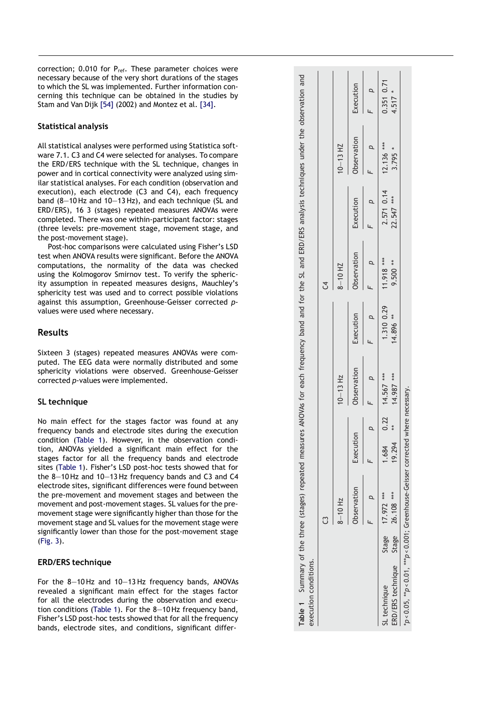correction; 0.010 for P<sub>ref</sub>. These parameter choices were necessary because of the very short durations of the stages to which the SL was implemented. Further information con cerning this technique can be obtained in the studies by Stam and Van Dijk [54] (2002) and Montez et al. [34] .

## **Statistical analysis**

All statistical analyses were performed using Statistica soft ware 7.1. C3 and C4 were selected for analyses. To compare the ERD/ERS technique with the SL technique, changes in power and in cortical connectivity were analyzed using sim ilar statistical analyses. For each condition (observation and execution), each electrode (C3 and C4), each frequency band (8 —10 Hz and 10 —13 Hz), and each technique (SL and ERD/ERS), 16 3 (stages) repeated measures ANOVAs were completed. There was one within -participant factor: stages (three levels: pre -movement stage, movement stage, and the post -movement stage).

Post -hoc comparisons were calculated using Fisher's LSD test when ANOVA results were significant. Before the ANOVA computations, the normality of the data was checked using the Kolmogorov Smirnov test. To verify the spheric ity assumption in repeated measures designs, Mauchley's sphericity test was used and to correct possible violations against this assumption, Greenhouse -Geisser corrected *p* values were used where necessary.

## **Results**

Sixteen 3 (stages) repeated measures ANOVAs were com puted. The EEG data were normally distributed and some sphericity violations were observed. Greenhouse -Geisser corrected *p* -values were implemented.

## **SL technique**

No main effect for the stages factor was found at any frequency bands and electrode sites during the execution condition (Table 1). However, in the observation condition, ANOVAs yielded a significant main effect for the stages factor for all the frequency bands and electrode sites (Table 1). Fisher's LSD post -hoc tests showed that for the 8 —10 Hz and 10 —13 Hz frequency bands and C3 and C4 electrode sites, significant differences were found between the pre -movement and movement stages and between the movement and post -movement stages. SL values for the pre movement stage were significantly higher than those for the movement stage and SL value s for the movement stage were significantly lower than those for the post -movement stage (Fig. 3).

## **ERD/ERS technique**

For the 8 —10 Hz and 10 —13 Hz frequency bands, ANOVAs revealed a significant main effect for the stages factor for all the electrodes during the observation and execution conditions (Table 1). For the 8 —10 Hz frequency band, Fisher's LSD post -hoc tests showed that for all the frequency bands, electrode sites, and conditions, significant differ -

| Table 1 Summary of the three (stages) repeated measures ANOVAs for each frequency band and for the SL and ERD/ERS analysis techniques under the observation and<br>execution conditions. |                  |                 |                  |                                  |                         |                        |                          |                       |                         |
|------------------------------------------------------------------------------------------------------------------------------------------------------------------------------------------|------------------|-----------------|------------------|----------------------------------|-------------------------|------------------------|--------------------------|-----------------------|-------------------------|
|                                                                                                                                                                                          |                  |                 |                  |                                  |                         | J                      |                          |                       |                         |
|                                                                                                                                                                                          | $8 - 10$ Hz      |                 |                  | $10 - 13$ Hz                     |                         | $8 - 10$ HZ            |                          | $10 - 13$ HZ          |                         |
|                                                                                                                                                                                          | Observation      | Execution       |                  | Observation                      | Execution               | Observation            | Execution                | Observation           | Execution               |
|                                                                                                                                                                                          |                  |                 |                  |                                  | $\overline{a}$          |                        |                          |                       |                         |
| ERD/ERS technique Stage 26.108 ***<br>JL technique                                                                                                                                       | Stage 17.972 *** | 19.294<br>1.684 |                  | $0.22$ $14.567***$<br>14.987 *** | 1.310 0.29<br>14.896 ** | 11.918 ***<br>9.500 ** | 2.571 0.14<br>22.547 *** | 12.136 ***<br>3.795 * | 0.351 0.71<br>$4.517 *$ |
| $*_p$ <0.05, $*_p$ <0.01, $^*_p$ p<0.001; Greenhouse-Geisser corrected                                                                                                                   |                  |                 | where necessary. |                                  |                         |                        |                          |                       |                         |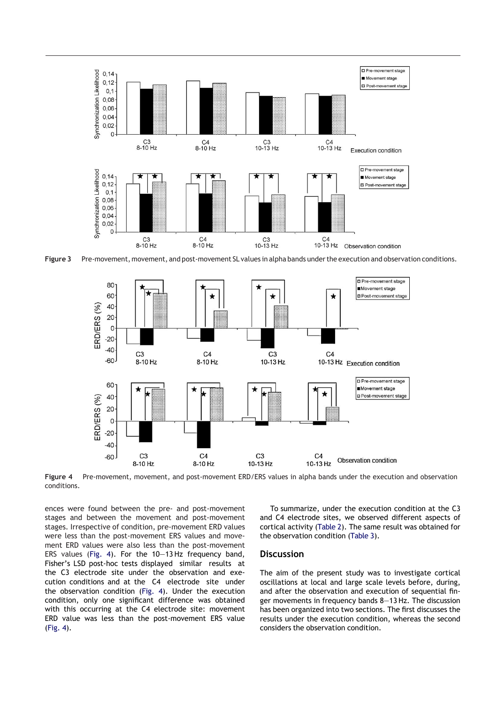

**Figure 3** Pre-movement, movement, and post-movement SL values in alpha bands underthe execution and observation conditions.



**Figure 4** Pre-movement, movement, and post-movement ERD/ERS values in alpha bands under the execution and observation conditions.

ences were found between the pre- and post-movement stages and between the movement and post-movement stages. Irrespective of condition, pre-movement ERD values were less than the post-movement ERS values and movement ERD values were also less than the post-movement ERS values (Fig. 4). For the 10—13 Hz frequency band, Fisher's LSD post-hoc tests displayed similar results at the C3 electrode site under the observation and execution conditions and at the C4 electrode site under the observation condition (Fig. 4). Under the execution condition, only one significant difference was obtained with this occurring at the C4 electrode site: movement ERD value was less than the post-movement ERS value (Fig. 4).

To summarize, under the execution condition at the C3 and C4 electrode sites, we observed different aspects of cortical activity (Table 2). The same result was obtained for the observation condition (Table 3).

## **Discussion**

The aim of the present study was to investigate cortical oscillations at local and large scale levels before, during, and after the observation and execution of sequential finger movements in frequency bands 8—13 Hz. The discussion has been organized into two sections. The first discusses the results under the execution condition, whereas the second considers the observation condition.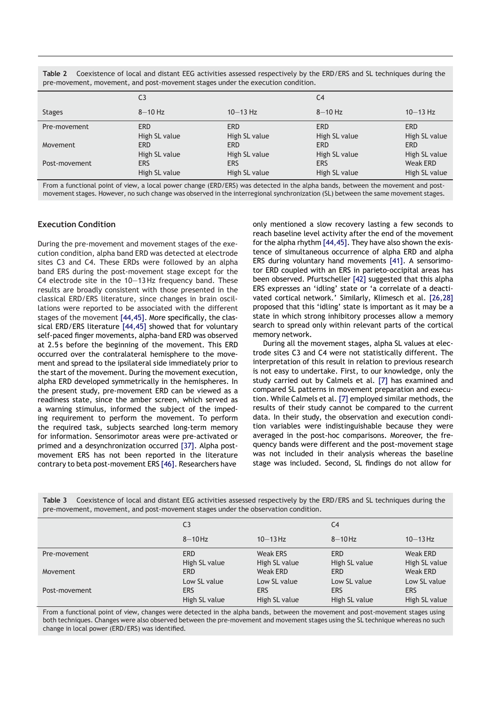**Table 2** Coexistence of local and distant EEG activities assessed respectively by the ERD/ERS and SL techniques during the pre-movement, movement, and post-movement stages under the execution condition.

|               | C <sub>3</sub> |               | C <sub>4</sub> |                 |
|---------------|----------------|---------------|----------------|-----------------|
| <b>Stages</b> | $8-10$ Hz      | $10 - 13$ Hz  | $8-10$ Hz      | $10 - 13$ Hz    |
| Pre-movement  | <b>ERD</b>     | <b>ERD</b>    | <b>ERD</b>     | <b>ERD</b>      |
|               | High SL value  | High SL value | High SL value  | High SL value   |
| Movement      | <b>ERD</b>     | <b>ERD</b>    | ERD            | <b>ERD</b>      |
|               | High SL value  | High SL value | High SL value  | High SL value   |
| Post-movement | <b>ERS</b>     | <b>ERS</b>    | <b>ERS</b>     | <b>Weak ERD</b> |
|               | High SL value  | High SL value | High SL value  | High SL value   |

From a functional point of view, a local power change (ERD/ERS) was detected in the alpha bands, between the movement and postmovement stages. However, no such change was observed in the interregional synchronization (SL) between the same movement stages.

## **Execution Condition**

During the pre-movement and movement stages of the execution condition, alpha band ERD was detected at electrode sites C3 and C4. These ERDs were followed by an alpha band ERS during the post-movement stage except for the C4 electrode site in the 10—13 Hz frequency band. These results are broadly consistent with those presented in the classical ERD/ERS literature, since changes in brain oscillations were reported to be associated with the different stages of the movement [44,45]. More specifically, the classical ERD/ERS literature [44,45] showed that for voluntary self-paced finger movements, alpha-band ERD was observed at 2.5 s before the beginning of the movement. This ERD occurred over the contralateral hemisphere to the movement and spread to the ipsilateral side immediately prior to the start of the movement. During the movement execution, alpha ERD developed symmetrically in the hemispheres. In the present study, pre-movement ERD can be viewed as a readiness state, since the amber screen, which served as a warning stimulus, informed the subject of the impeding requirement to perform the movement. To perform the required task, subjects searched long-term memory for information. Sensorimotor areas were pre-activated or primed and a desynchronization occurred [37]. Alpha postmovement ERS has not been reported in the literature contrary to beta post-movement ERS [46]. Researchers have

only mentioned a slow recovery lasting a few seconds to reach baseline level activity after the end of the movement for the alpha rhythm [44,45]. They have also shown the existence of simultaneous occurrence of alpha ERD and alpha ERS during voluntary hand movements [41]. A sensorimotor ERD coupled with an ERS in parieto-occipital areas has been observed. Pfurtscheller [42] suggested that this alpha ERS expresses an 'idling' state or 'a correlate of a deactivated cortical network.' Similarly, Klimesch et al. [26,28] proposed that this 'idling' state is important as it may be a state in which strong inhibitory processes allow a memory search to spread only within relevant parts of the cortical memory network.

During all the movement stages, alpha SL values at electrode sites C3 and C4 were not statistically different. The interpretation of this result in relation to previous research is not easy to undertake. First, to our knowledge, only the study carried out by Calmels et al. [7] has examined and compared SL patterns in movement preparation and execution. While Calmels et al. [7] employed similar methods, the results of their study cannot be compared to the current data. In their study, the observation and execution condition variables were indistinguishable because they were averaged in the post-hoc comparisons. Moreover, the frequency bands were different and the post-movement stage was not included in their analysis whereas the baseline stage was included. Second, SL findings do not allow for

|               | C <sub>3</sub>                              |                                             | C <sub>4</sub>                              |                                             |
|---------------|---------------------------------------------|---------------------------------------------|---------------------------------------------|---------------------------------------------|
|               | $8-10$ Hz                                   | $10 - 13$ Hz                                | $8-10$ Hz                                   | $10 - 13$ Hz                                |
| Pre-movement  | <b>ERD</b><br>High SL value                 | <b>Weak ERS</b><br>High SL value            | <b>ERD</b><br>High SL value                 | <b>Weak ERD</b><br>High SL value            |
| Movement      | <b>ERD</b>                                  | <b>Weak ERD</b>                             | <b>ERD</b>                                  | <b>Weak ERD</b>                             |
| Post-movement | Low SL value<br><b>ERS</b><br>High SL value | Low SL value<br><b>ERS</b><br>High SL value | Low SL value<br><b>ERS</b><br>High SL value | Low SL value<br><b>ERS</b><br>High SL value |

**Table 3** Coexistence of local and distant EEG activities assessed respectively by the ERD/ERS and SL techniques during the pre-movement, movement, and post-movement stages under the observation condition.

From a functional point of view, changes were detected in the alpha bands, between the movement and post-movement stages using both techniques. Changes were also observed between the pre-movement and movement stages using the SL technique whereas no such change in local power (ERD/ERS) was identified.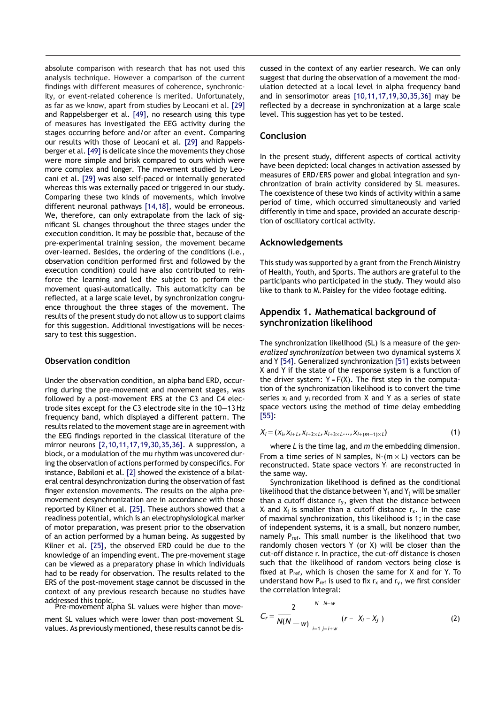absolute comparison with research that has not used this analysis technique. However a comparison of the current findings with different measures of coherence, synchronicity, or event-related coherence is merited. Unfortunately, as far as we know, apart from studies by Leocani et al. [29] and Rappelsberger et al. [49], no research using this type of measures has investigated the EEG activity during the stages occurring before and/or after an event. Comparing our results with those of Leocani et al. [29] and Rappelsberger et al. [49] is delicate since the movements they chose were more simple and brisk compared to ours which were more complex and longer. The movement studied by Leocani et al. [29] was also self-paced or internally generated whereas this was externally paced or triggered in our study. Comparing these two kinds of movements, which involve different neuronal pathways [14,18], would be erroneous. We, therefore, can only extrapolate from the lack of significant SL changes throughout the three stages under the execution condition. It may be possible that, because of the pre-experimental training session, the movement became over-learned. Besides, the ordering of the conditions (i.e., observation condition performed first and followed by the execution condition) could have also contributed to reinforce the learning and led the subject to perform the movement quasi-automatically. This automaticity can be reflected, at a large scale level, by synchronization congruence throughout the three stages of the movement. The results of the present study do not allow us to support claims for this suggestion. Additional investigations will be necessary to test this suggestion.

## **Observation condition**

Under the observation condition, an alpha band ERD, occurring during the pre-movement and movement stages, was followed by a post-movement ERS at the C3 and C4 electrode sites except for the C3 electrode site in the 10—13 Hz frequency band, which displayed a different pattern. The results related to the movement stage are in agreement with the EEG findings reported in the classical literature of the mirror neurons [2,10,11,17,19,30,35,36]. A suppression, a block, or a modulation of the mu rhythm was uncovered during the observation of actions performed by conspecifics. For instance, Babiloni et al. [2] showed the existence of a bilateral central desynchronization during the observation of fast finger extension movements. The results on the alpha premovement desynchronization are in accordance with those reported by Kilner et al. [25]. These authors showed that a readiness potential, which is an electrophysiological marker of motor preparation, was present prior to the observation of an action performed by a human being. As suggested by Kilner et al. [25], the observed ERD could be due to the knowledge of an impending event. The pre-movement stage can be viewed as a preparatory phase in which individuals had to be ready for observation. The results related to the ERS of the post-movement stage cannot be discussed in the context of any previous research because no studies have addressed this topic. Pre-movement alpha SL values were higher than move-

ment SL values which were lower than post-movement SL values. As previously mentioned, these results cannot be discussed in the context of any earlier research. We can only suggest that during the observation of a movement the modulation detected at a local level in alpha frequency band and in sensorimotor areas [10,11,17,19,30,35,36] may be reflected by a decrease in synchronization at a large scale level. This suggestion has yet to be tested.

## **Conclusion**

In the present study, different aspects of cortical activity have been depicted: local changes in activation assessed by measures of ERD/ERS power and global integration and synchronization of brain activity considered by SL measures. The coexistence of these two kinds of activity within a same period of time, which occurred simultaneously and varied differently in time and space, provided an accurate description of oscillatory cortical activity.

## **Acknowledgements**

This study was supported by a grant from the French Ministry of Health, Youth, and Sports. The authors are grateful to the participants who participated in the study. They would also like to thank to M. Paisley for the video footage editing.

## **Appendix 1. Mathematical background of synchronization likelihood**

The synchronization likelihood (SL) is a measure of the *generalized synchronization* between two dynamical systems X and Y [54]. Generalized synchronization [51] exists between X and Y if the state of the response system is a function of the driver system:  $Y = F(X)$ . The first step in the computation of the synchronization likelihood is to convert the time series  $x_i$  and  $y_i$  recorded from X and Y as a series of state space vectors using the method of time delay embedding [55]:

$$
X_i = (x_i, x_{i+1}, x_{i+2 \times L}, x_{i+3 \times L}, x_{i+(m-1) \times L})
$$
\n(1)

where *L* is the time lag, and *m* the embedding dimension. From a time series of N samples,  $N-(m \times L)$  vectors can be reconstructed. State space vectors Y<sup>i</sup> are reconstructed in the same way.

Synchronization likelihood is defined as the conditional likelihood that the distance between  $Y_i$  and  $Y_j$  will be smaller than a cutoff distance  $r_y$ , given that the distance between  $X_i$  and  $X_i$  is smaller than a cutoff distance  $r_x$ . In the case of maximal synchronization, this likelihood is 1; in the case of independent systems, it is a small, but nonzero number, namely P<sub>ref</sub>. This small number is the likelihood that two randomly chosen vectors Y (or X) will be closer than the cut-off distance r. In practice, the cut-off distance is chosen such that the likelihood of random vectors being close is fixed at  $P_{ref}$ , which is chosen the same for X and for Y. To understand how  $P_{ref}$  is used to fix  $r_x$  and  $r_y$ , we first consider the correlation integral:

$$
C_r = \frac{2}{N(N - w)} \sum_{i=1 \ j = i+w}^{N \ N - w} (r - X_i - X_j) \tag{2}
$$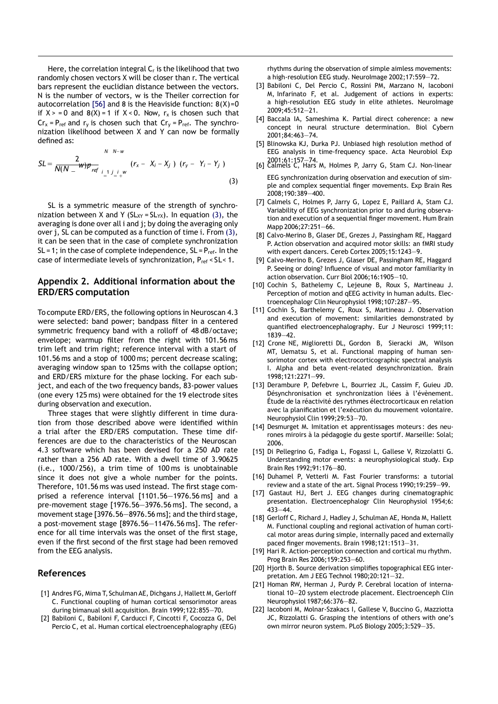Here, the correlation integral  $C_r$  is the likelihood that two randomly chosen vectors X will be closer than r. The vertical bars represent the euclidian distance between the vectors. N is the number of vectors, w is the Theiler correction for autocorrelation [56] and 8 is the Heaviside function:  $8(X)=0$ if  $X > = 0$  and  $8(X) = 1$  if  $X < 0$ . Now,  $r_x$  is chosen such that  $Cr_x = P_{ref}$  and  $r_y$  is chosen such that  $Cr_y = P_{ref}$ . The synchronization likelihood between X and Y can now be formally defined as:

$$
SL = \frac{2}{N(N - w)p_{ref}} \int_{\substack{i = 1 \ j = i+w}}^{N \ N-w} (r_x - X_i - X_j) (r_y - Y_i - Y_j)
$$
\n(3)

SL is a symmetric measure of the strength of synchronization between X and Y ( $SL_{XY} = SL_{YX}$ ). In equation (3), the averaging is done over all i and j; by doing the averaging only over j, SL can be computed as a function of time i. From (3), it can be seen that in the case of complete synchronization SL = 1; in the case of complete independence,  $SL = P_{ref}$ . In the case of intermediate levels of synchronization, P<sub>ref</sub> < SL< 1.

## **Appendix 2. Additional information about the ERD/ERS computation**

To compute ERD/ERS, the following options in Neuroscan 4.3 were selected: band power; bandpass filter in a centered symmetric frequency band with a rolloff of 48 dB/octave; envelope; warmup filter from the right with 101.56 ms trim left and trim right; reference interval with a start of 101.56 ms and a stop of 1000 ms; percent decrease scaling; averaging window span to 125ms with the collapse option; and ERD/ERS mixture for the phase locking. For each subject, and each of the two frequency bands, 83-power values (one every 125 ms) were obtained for the 19 electrode sites during observation and execution.

Three stages that were slightly different in time duration from those described above were identified within a trial after the ERD/ERS computation. These time differences are due to the characteristics of the Neuroscan 4.3 software which has been devised for a 250 AD rate rather than a 256 AD rate. With a dwell time of 3.90625 (i.e., 1000/256), a trim time of 100 ms is unobtainable since it does not give a whole number for the points. Therefore, 101.56 ms was used instead. The first stage comprised a reference interval [1101.56—1976.56 ms] and a pre-movement stage [1976.56—3976.56 ms]. The second, a movement stage [3976.56—8976.56 ms]; and the third stage, a post-movement stage [8976.56—11476.56 ms]. The reference for all time intervals was the onset of the first stage, even if the first second of the first stage had been removed from the EEG analysis.

## **References**

- [1] Andres FG, Mima T, Schulman AE, Dichgans J, Hallett M, Gerloff C. Functional coupling of human cortical sensorimotor areas during bimanual skill acquisition. Brain 1999;122:855—70.
- [2] Babiloni C, Babiloni F, Carducci F, Cincotti F, Cocozza G, Del Percio C, et al. Human cortical electroencephalography (EEG)

rhythms during the observation of simple aimless movements: a high-resolution EEG study. NeuroImage 2002;17:559—72.

- [3] Babiloni C, Del Percio C, Rossini PM, Marzano N, Iacoboni M, Infarinato F, et al. Judgement of actions in experts: a high-resolution EEG study in elite athletes. NeuroImage 2009;45:512—21.
- [4] Baccala IA, Sameshima K. Partial direct coherence: a new concept in neural structure determination. Biol Cybern 2001;84:463—74.
- [5] Blinowska KJ, Durka PJ. Unbiased high resolution method of EEG analysis in time-frequency space. Acta Neurobiol Exp 2001;61:157—74. [6] Calmels C, Hars M, Holmes P, Jarry G, Stam CJ. Non-linear
- EEG synchronization during observation and execution of simple and complex sequential finger movements. Exp Brain Res 2008;190:389—400.
- [7] Calmels C, Holmes P, Jarry G, Lopez E, Paillard A, Stam CJ. Variability of EEG synchronization prior to and during observation and execution of a sequential finger movement. Hum Brain Mapp 2006;27:251—66.
- [8] Calvo-Merino B, Glaser DE, Grezes J, Passingham RE, Haggard P. Action observation and acquired motor skills: an fMRI study with expert dancers. Cereb Cortex 2005;15:1243—9.
- [9] Calvo-Merino B, Grezes J, Glaser DE, Passingham RE, Haggard P. Seeing or doing? Influence of visual and motor familiarity in action observation. Curr Biol 2006;16:1905—10.
- [10] Cochin S, Bathelemy C, Lejeune B, Roux S, Martineau J. Perception of motion and qEEG activity in human adults. Electroencephalogr Clin Neurophysiol 1998;107:287—95.
- [11] Cochin S, Barthelemy C, Roux S, Martineau J. Observation and execution of movement: similarities demonstrated by quantified electroencephalography. Eur J Neurosci 1999;11: 1839—42.
- [12] Crone NE, Miglioretti DL, Gordon B, Sieracki JM, Wilson MT, Uematsu S, et al. Functional mapping of human sensorimotor cortex with electrocorticographic spectral analysis I. Alpha and beta event-related desynchronization. Brain 1998;121:2271—99.
- [13] Derambure P, Defebvre L, Bourriez JL, Cassim F, Guieu JD. Désynchronisation et synchronization liées à l'évènement. Étude de la réactivité des rythmes électrocorticaux en relation avec la planification et l'exécution du mouvement volontaire. Neurophysiol Clin 1999;29:53—70.
- [14] Desmurget M. Imitation et apprentissages moteurs : des neurones miroirs à la pédagogie du geste sportif. Marseille: Solal; 2006.
- [15] Di Pellegrino G, Fadiga L, Fogassi L, Gallese V, Rizzolatti G. Understanding motor events: a neurophysiological study. Exp Brain Res 1992;91:176—80.
- [16] Duhamel P, Vetterli M. Fast Fourier transforms: a tutorial review and a state of the art. Signal Process 1990;19:259—99.
- [17] Gastaut HJ, Bert J. EEG changes during cinematographic presentation. Electroencephalogr Clin Neurophysiol 1954;6: 433—44.
- [18] Gerloff C, Richard J, Hadley J, Schulman AE, Honda M, Hallett M. Functional coupling and regional activation of human cortical motor areas during simple, internally paced and externally paced finger movements. Brain 1998;121:1513—31.
- [19] Hari R. Action-perception connection and cortical mu rhythm. Prog Brain Res 2006;159:253—60.
- [20] Hjorth B. Source derivation simplifies topographical EEG interpretation. Am J EEG Technol 1980;20:121—32.
- [21] Homan RW, Herman J, Purdy P. Cerebral location of international 10—20 system electrode placement. Electroenceph Clin Neurophysiol 1987;66:376—82.
- [22] Iacoboni M, Molnar-Szakacs I, Gallese V, Buccino G, Mazziotta JC, Rizzolatti G. Grasping the intentions of others with one's own mirror neuron system. PLoS Biology 2005;3:529—35.